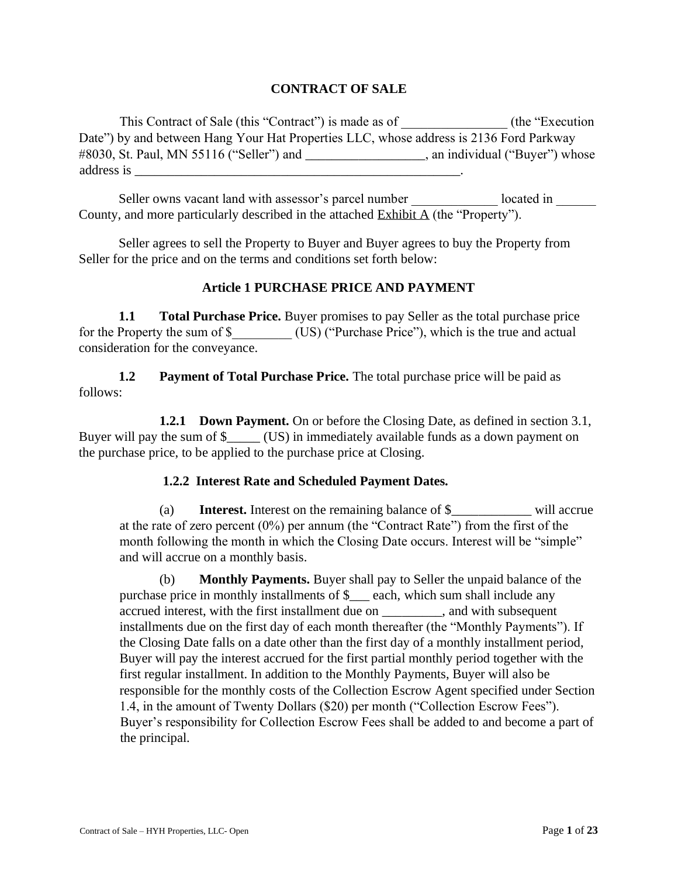## **CONTRACT OF SALE**

This Contract of Sale (this "Contract") is made as of \_\_\_\_\_\_\_\_\_\_\_\_\_\_\_\_\_ (the "Execution Date") by and between Hang Your Hat Properties LLC, whose address is 2136 Ford Parkway #8030, St. Paul, MN 55116 ("Seller") and \_\_\_\_\_\_\_\_\_\_\_\_\_\_\_\_\_\_, an individual ("Buyer") whose address is  $\overline{a}$ 

Seller owns vacant land with assessor's parcel number \_\_\_\_\_\_\_\_\_\_\_\_ located in County, and more particularly described in the attached Exhibit A (the "Property").

Seller agrees to sell the Property to Buyer and Buyer agrees to buy the Property from Seller for the price and on the terms and conditions set forth below:

### **Article 1 PURCHASE PRICE AND PAYMENT**

**1.1** Total Purchase Price. Buyer promises to pay Seller as the total purchase price for the Property the sum of \$\_\_\_\_\_\_\_\_\_ (US) ("Purchase Price"), which is the true and actual consideration for the conveyance.

**1.2** Payment of Total Purchase Price. The total purchase price will be paid as follows:

**1.2.1 Down Payment.** On or before the Closing Date, as defined in section 3.1, Buyer will pay the sum of \$\_\_\_\_\_ (US) in immediately available funds as a down payment on the purchase price, to be applied to the purchase price at Closing.

### **1.2.2 Interest Rate and Scheduled Payment Dates.**

(a) **Interest.** Interest on the remaining balance of \$\_\_\_\_\_\_\_\_\_\_\_\_ will accrue at the rate of zero percent (0%) per annum (the "Contract Rate") from the first of the month following the month in which the Closing Date occurs. Interest will be "simple" and will accrue on a monthly basis.

(b) **Monthly Payments.** Buyer shall pay to Seller the unpaid balance of the purchase price in monthly installments of  $\frac{1}{2}$  each, which sum shall include any accrued interest, with the first installment due on \_\_\_\_\_\_\_\_\_, and with subsequent installments due on the first day of each month thereafter (the "Monthly Payments"). If the Closing Date falls on a date other than the first day of a monthly installment period, Buyer will pay the interest accrued for the first partial monthly period together with the first regular installment. In addition to the Monthly Payments, Buyer will also be responsible for the monthly costs of the Collection Escrow Agent specified under Section 1.4, in the amount of Twenty Dollars (\$20) per month ("Collection Escrow Fees"). Buyer's responsibility for Collection Escrow Fees shall be added to and become a part of the principal.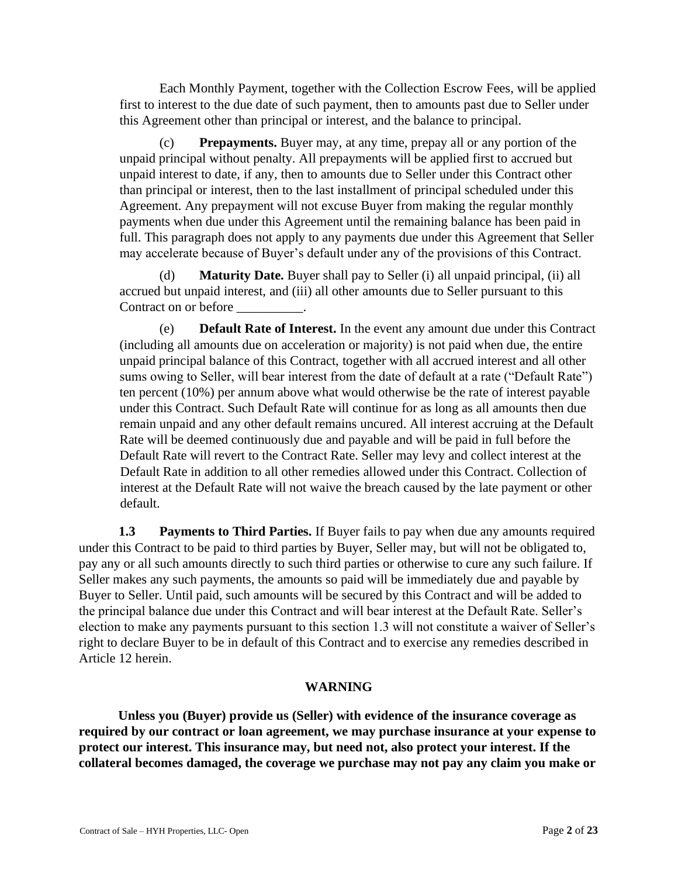Each Monthly Payment, together with the Collection Escrow Fees, will be applied first to interest to the due date of such payment, then to amounts past due to Seller under this Agreement other than principal or interest, and the balance to principal.

(c) **Prepayments.** Buyer may, at any time, prepay all or any portion of the unpaid principal without penalty. All prepayments will be applied first to accrued but unpaid interest to date, if any, then to amounts due to Seller under this Contract other than principal or interest, then to the last installment of principal scheduled under this Agreement. Any prepayment will not excuse Buyer from making the regular monthly payments when due under this Agreement until the remaining balance has been paid in full. This paragraph does not apply to any payments due under this Agreement that Seller may accelerate because of Buyer's default under any of the provisions of this Contract.

(d) **Maturity Date.** Buyer shall pay to Seller (i) all unpaid principal, (ii) all accrued but unpaid interest, and (iii) all other amounts due to Seller pursuant to this Contract on or before

(e) **Default Rate of Interest.** In the event any amount due under this Contract (including all amounts due on acceleration or majority) is not paid when due, the entire unpaid principal balance of this Contract, together with all accrued interest and all other sums owing to Seller, will bear interest from the date of default at a rate ("Default Rate") ten percent (10%) per annum above what would otherwise be the rate of interest payable under this Contract. Such Default Rate will continue for as long as all amounts then due remain unpaid and any other default remains uncured. All interest accruing at the Default Rate will be deemed continuously due and payable and will be paid in full before the Default Rate will revert to the Contract Rate. Seller may levy and collect interest at the Default Rate in addition to all other remedies allowed under this Contract. Collection of interest at the Default Rate will not waive the breach caused by the late payment or other default.

**1.3 Payments to Third Parties.** If Buyer fails to pay when due any amounts required under this Contract to be paid to third parties by Buyer, Seller may, but will not be obligated to, pay any or all such amounts directly to such third parties or otherwise to cure any such failure. If Seller makes any such payments, the amounts so paid will be immediately due and payable by Buyer to Seller. Until paid, such amounts will be secured by this Contract and will be added to the principal balance due under this Contract and will bear interest at the Default Rate. Seller's election to make any payments pursuant to this section 1.3 will not constitute a waiver of Seller's right to declare Buyer to be in default of this Contract and to exercise any remedies described in Article 12 herein.

### **WARNING**

**Unless you (Buyer) provide us (Seller) with evidence of the insurance coverage as required by our contract or loan agreement, we may purchase insurance at your expense to protect our interest. This insurance may, but need not, also protect your interest. If the collateral becomes damaged, the coverage we purchase may not pay any claim you make or**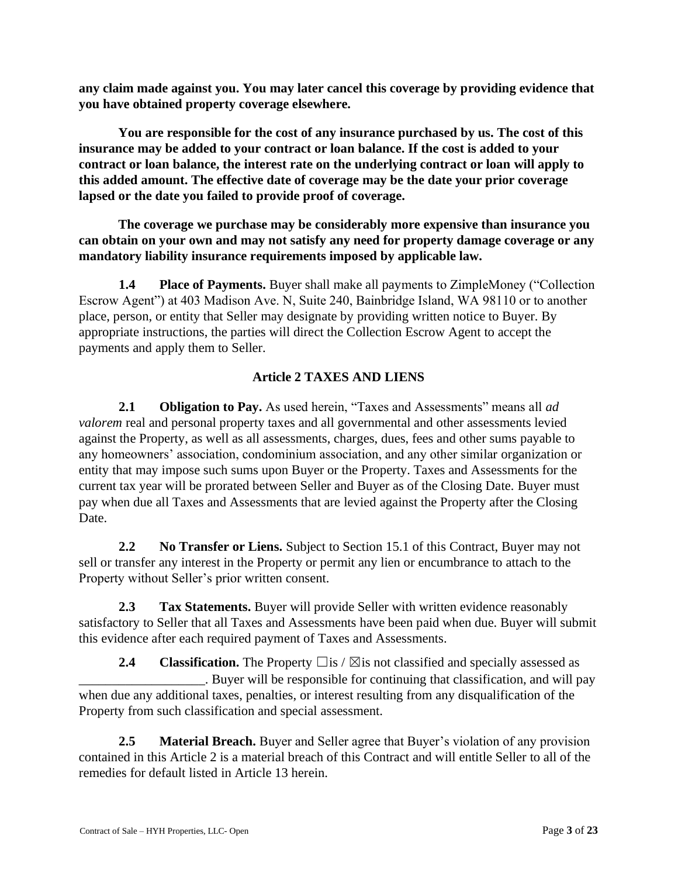**any claim made against you. You may later cancel this coverage by providing evidence that you have obtained property coverage elsewhere.** 

**You are responsible for the cost of any insurance purchased by us. The cost of this insurance may be added to your contract or loan balance. If the cost is added to your contract or loan balance, the interest rate on the underlying contract or loan will apply to this added amount. The effective date of coverage may be the date your prior coverage lapsed or the date you failed to provide proof of coverage.** 

**The coverage we purchase may be considerably more expensive than insurance you can obtain on your own and may not satisfy any need for property damage coverage or any mandatory liability insurance requirements imposed by applicable law.** 

**1.4 Place of Payments.** Buyer shall make all payments to ZimpleMoney ("Collection" Escrow Agent") at 403 Madison Ave. N, Suite 240, Bainbridge Island, WA 98110 or to another place, person, or entity that Seller may designate by providing written notice to Buyer. By appropriate instructions, the parties will direct the Collection Escrow Agent to accept the payments and apply them to Seller.

# **Article 2 TAXES AND LIENS**

**2.1 Obligation to Pay.** As used herein, "Taxes and Assessments" means all *ad valorem* real and personal property taxes and all governmental and other assessments levied against the Property, as well as all assessments, charges, dues, fees and other sums payable to any homeowners' association, condominium association, and any other similar organization or entity that may impose such sums upon Buyer or the Property. Taxes and Assessments for the current tax year will be prorated between Seller and Buyer as of the Closing Date*.* Buyer must pay when due all Taxes and Assessments that are levied against the Property after the Closing Date.

**2.2 No Transfer or Liens.** Subject to Section 15.1 of this Contract, Buyer may not sell or transfer any interest in the Property or permit any lien or encumbrance to attach to the Property without Seller's prior written consent.

**2.3 Tax Statements.** Buyer will provide Seller with written evidence reasonably satisfactory to Seller that all Taxes and Assessments have been paid when due. Buyer will submit this evidence after each required payment of Taxes and Assessments.

**2.4 Classification.** The Property  $\Box$  is /  $\boxtimes$  is not classified and specially assessed as . Buyer will be responsible for continuing that classification, and will pay when due any additional taxes, penalties, or interest resulting from any disqualification of the Property from such classification and special assessment.

**2.5 Material Breach.** Buyer and Seller agree that Buyer's violation of any provision contained in this Article 2 is a material breach of this Contract and will entitle Seller to all of the remedies for default listed in Article 13 herein.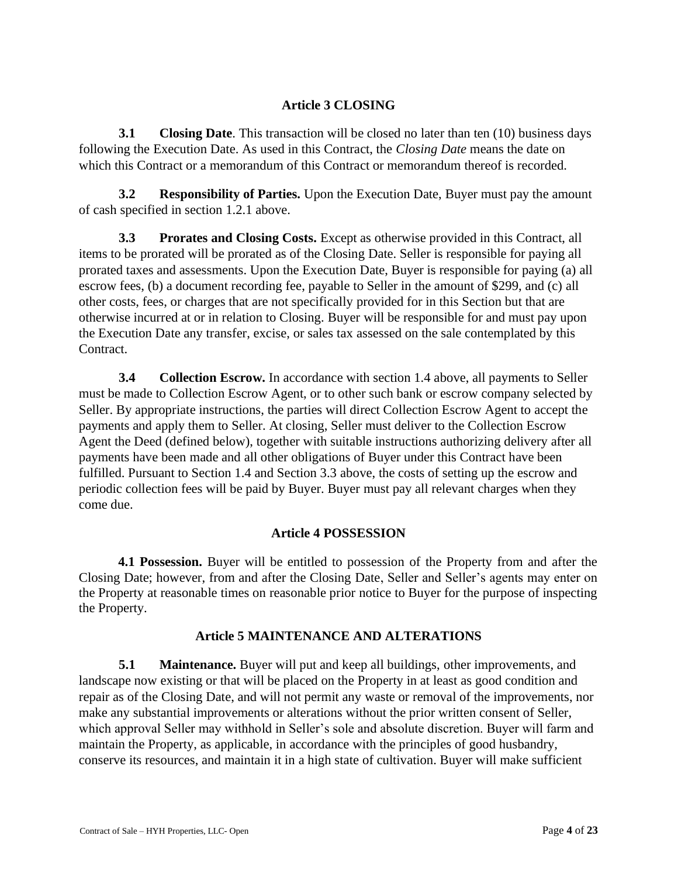## **Article 3 CLOSING**

**3.1** Closing Date. This transaction will be closed no later than ten (10) business days following the Execution Date. As used in this Contract, the *Closing Date* means the date on which this Contract or a memorandum of this Contract or memorandum thereof is recorded.

**3.2 Responsibility of Parties.** Upon the Execution Date, Buyer must pay the amount of cash specified in section 1.2.1 above.

**3.3 Prorates and Closing Costs.** Except as otherwise provided in this Contract, all items to be prorated will be prorated as of the Closing Date. Seller is responsible for paying all prorated taxes and assessments. Upon the Execution Date, Buyer is responsible for paying (a) all escrow fees, (b) a document recording fee, payable to Seller in the amount of \$299, and (c) all other costs, fees, or charges that are not specifically provided for in this Section but that are otherwise incurred at or in relation to Closing. Buyer will be responsible for and must pay upon the Execution Date any transfer, excise, or sales tax assessed on the sale contemplated by this Contract.

**3.4 Collection Escrow.** In accordance with section 1.4 above, all payments to Seller must be made to Collection Escrow Agent, or to other such bank or escrow company selected by Seller. By appropriate instructions, the parties will direct Collection Escrow Agent to accept the payments and apply them to Seller. At closing, Seller must deliver to the Collection Escrow Agent the Deed (defined below), together with suitable instructions authorizing delivery after all payments have been made and all other obligations of Buyer under this Contract have been fulfilled. Pursuant to Section 1.4 and Section 3.3 above, the costs of setting up the escrow and periodic collection fees will be paid by Buyer. Buyer must pay all relevant charges when they come due.

# **Article 4 POSSESSION**

**4.1 Possession.** Buyer will be entitled to possession of the Property from and after the Closing Date; however, from and after the Closing Date, Seller and Seller's agents may enter on the Property at reasonable times on reasonable prior notice to Buyer for the purpose of inspecting the Property.

### **Article 5 MAINTENANCE AND ALTERATIONS**

**5.1 Maintenance.** Buyer will put and keep all buildings, other improvements, and landscape now existing or that will be placed on the Property in at least as good condition and repair as of the Closing Date, and will not permit any waste or removal of the improvements, nor make any substantial improvements or alterations without the prior written consent of Seller, which approval Seller may withhold in Seller's sole and absolute discretion. Buyer will farm and maintain the Property, as applicable, in accordance with the principles of good husbandry, conserve its resources, and maintain it in a high state of cultivation. Buyer will make sufficient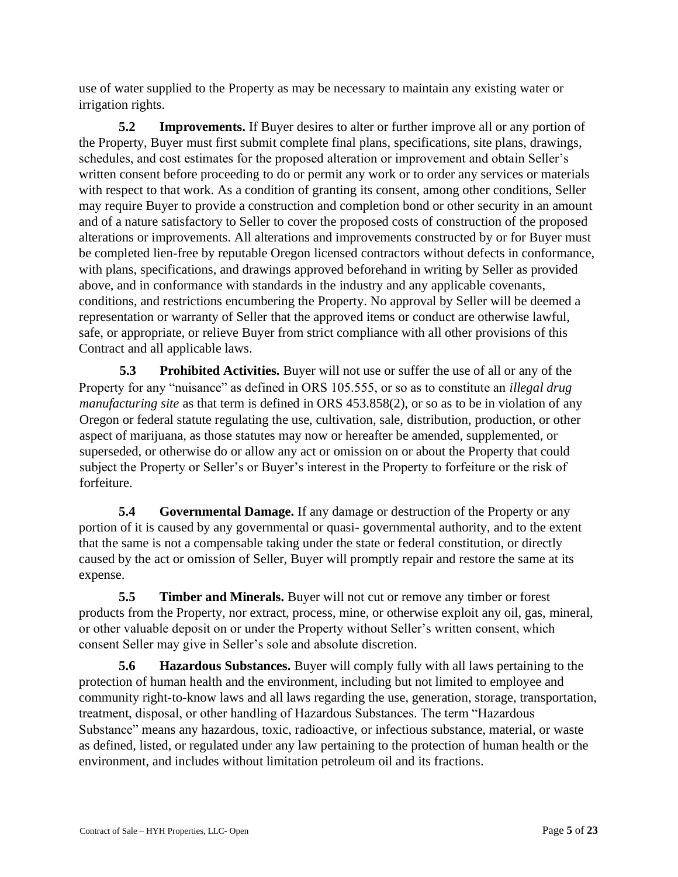use of water supplied to the Property as may be necessary to maintain any existing water or irrigation rights.

**5.2** Improvements. If Buyer desires to alter or further improve all or any portion of the Property, Buyer must first submit complete final plans, specifications, site plans, drawings, schedules, and cost estimates for the proposed alteration or improvement and obtain Seller's written consent before proceeding to do or permit any work or to order any services or materials with respect to that work. As a condition of granting its consent, among other conditions, Seller may require Buyer to provide a construction and completion bond or other security in an amount and of a nature satisfactory to Seller to cover the proposed costs of construction of the proposed alterations or improvements. All alterations and improvements constructed by or for Buyer must be completed lien-free by reputable Oregon licensed contractors without defects in conformance, with plans, specifications, and drawings approved beforehand in writing by Seller as provided above, and in conformance with standards in the industry and any applicable covenants, conditions, and restrictions encumbering the Property. No approval by Seller will be deemed a representation or warranty of Seller that the approved items or conduct are otherwise lawful, safe, or appropriate, or relieve Buyer from strict compliance with all other provisions of this Contract and all applicable laws.

**5.3** Prohibited Activities. Buyer will not use or suffer the use of all or any of the Property for any "nuisance" as defined in ORS 105.555, or so as to constitute an *illegal drug manufacturing site* as that term is defined in ORS 453.858(2), or so as to be in violation of any Oregon or federal statute regulating the use, cultivation, sale, distribution, production, or other aspect of marijuana, as those statutes may now or hereafter be amended, supplemented, or superseded, or otherwise do or allow any act or omission on or about the Property that could subject the Property or Seller's or Buyer's interest in the Property to forfeiture or the risk of forfeiture.

**5.4 Governmental Damage.** If any damage or destruction of the Property or any portion of it is caused by any governmental or quasi- governmental authority, and to the extent that the same is not a compensable taking under the state or federal constitution, or directly caused by the act or omission of Seller, Buyer will promptly repair and restore the same at its expense.

**5.5 Timber and Minerals.** Buyer will not cut or remove any timber or forest products from the Property, nor extract, process, mine, or otherwise exploit any oil, gas, mineral, or other valuable deposit on or under the Property without Seller's written consent, which consent Seller may give in Seller's sole and absolute discretion.

**5.6 Hazardous Substances.** Buyer will comply fully with all laws pertaining to the protection of human health and the environment, including but not limited to employee and community right-to-know laws and all laws regarding the use, generation, storage, transportation, treatment, disposal, or other handling of Hazardous Substances. The term "Hazardous Substance" means any hazardous, toxic, radioactive, or infectious substance, material, or waste as defined, listed, or regulated under any law pertaining to the protection of human health or the environment, and includes without limitation petroleum oil and its fractions.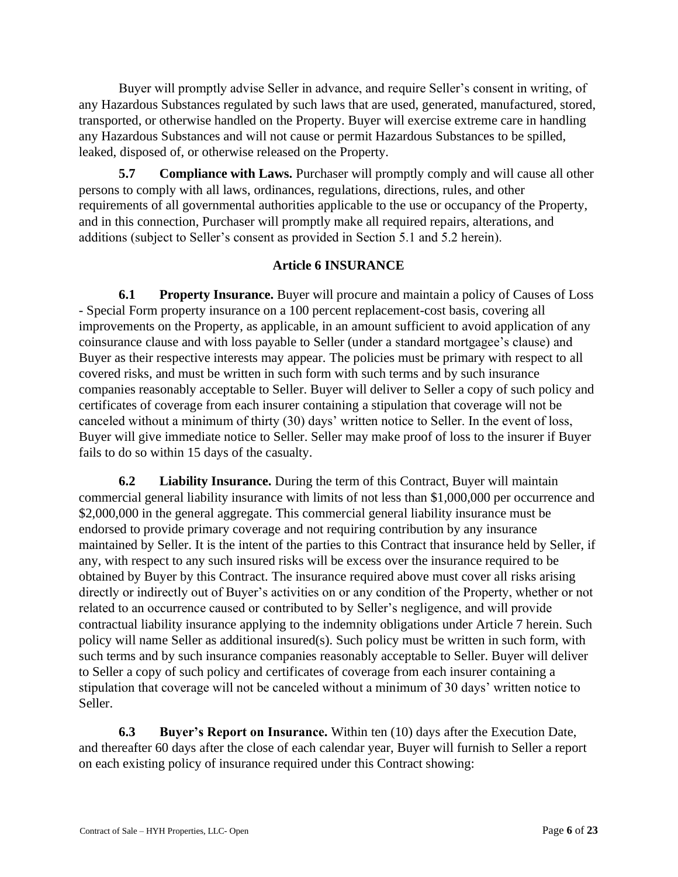Buyer will promptly advise Seller in advance, and require Seller's consent in writing, of any Hazardous Substances regulated by such laws that are used, generated, manufactured, stored, transported, or otherwise handled on the Property. Buyer will exercise extreme care in handling any Hazardous Substances and will not cause or permit Hazardous Substances to be spilled, leaked, disposed of, or otherwise released on the Property.

**5.7** Compliance with Laws. Purchaser will promptly comply and will cause all other persons to comply with all laws, ordinances, regulations, directions, rules, and other requirements of all governmental authorities applicable to the use or occupancy of the Property, and in this connection, Purchaser will promptly make all required repairs, alterations, and additions (subject to Seller's consent as provided in Section 5.1 and 5.2 herein).

# **Article 6 INSURANCE**

**6.1 Property Insurance.** Buyer will procure and maintain a policy of Causes of Loss - Special Form property insurance on a 100 percent replacement-cost basis, covering all improvements on the Property, as applicable, in an amount sufficient to avoid application of any coinsurance clause and with loss payable to Seller (under a standard mortgagee's clause) and Buyer as their respective interests may appear. The policies must be primary with respect to all covered risks, and must be written in such form with such terms and by such insurance companies reasonably acceptable to Seller. Buyer will deliver to Seller a copy of such policy and certificates of coverage from each insurer containing a stipulation that coverage will not be canceled without a minimum of thirty (30) days' written notice to Seller. In the event of loss, Buyer will give immediate notice to Seller. Seller may make proof of loss to the insurer if Buyer fails to do so within 15 days of the casualty.

**6.2 Liability Insurance.** During the term of this Contract, Buyer will maintain commercial general liability insurance with limits of not less than \$1,000,000 per occurrence and \$2,000,000 in the general aggregate. This commercial general liability insurance must be endorsed to provide primary coverage and not requiring contribution by any insurance maintained by Seller. It is the intent of the parties to this Contract that insurance held by Seller, if any, with respect to any such insured risks will be excess over the insurance required to be obtained by Buyer by this Contract. The insurance required above must cover all risks arising directly or indirectly out of Buyer's activities on or any condition of the Property, whether or not related to an occurrence caused or contributed to by Seller's negligence, and will provide contractual liability insurance applying to the indemnity obligations under Article 7 herein. Such policy will name Seller as additional insured(s). Such policy must be written in such form, with such terms and by such insurance companies reasonably acceptable to Seller. Buyer will deliver to Seller a copy of such policy and certificates of coverage from each insurer containing a stipulation that coverage will not be canceled without a minimum of 30 days' written notice to Seller.

**6.3 Buyer's Report on Insurance.** Within ten (10) days after the Execution Date, and thereafter 60 days after the close of each calendar year, Buyer will furnish to Seller a report on each existing policy of insurance required under this Contract showing: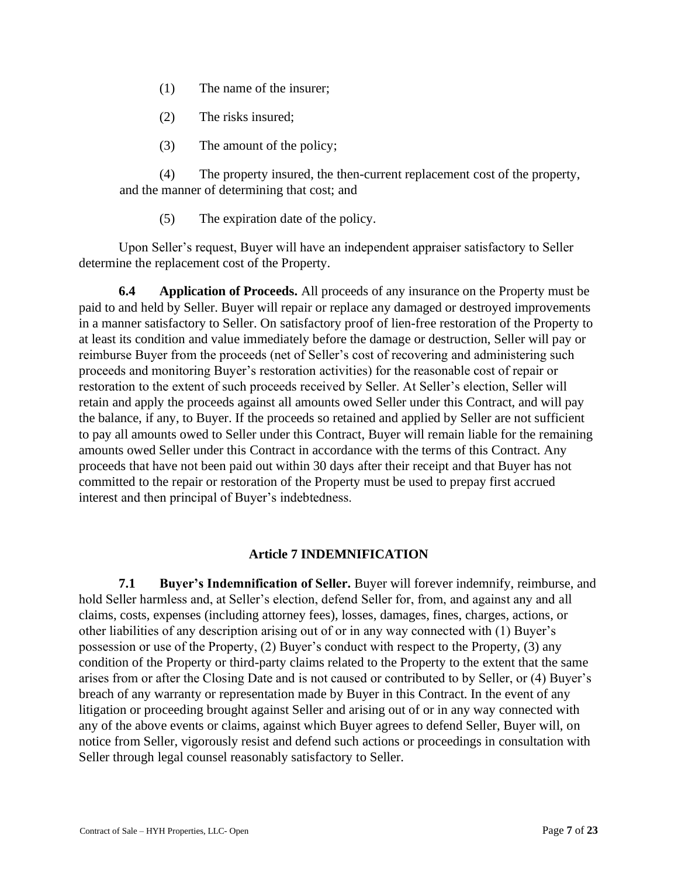- (1) The name of the insurer;
- (2) The risks insured;
- (3) The amount of the policy;

(4) The property insured, the then-current replacement cost of the property, and the manner of determining that cost; and

(5) The expiration date of the policy.

Upon Seller's request, Buyer will have an independent appraiser satisfactory to Seller determine the replacement cost of the Property.

**6.4 Application of Proceeds.** All proceeds of any insurance on the Property must be paid to and held by Seller. Buyer will repair or replace any damaged or destroyed improvements in a manner satisfactory to Seller. On satisfactory proof of lien-free restoration of the Property to at least its condition and value immediately before the damage or destruction, Seller will pay or reimburse Buyer from the proceeds (net of Seller's cost of recovering and administering such proceeds and monitoring Buyer's restoration activities) for the reasonable cost of repair or restoration to the extent of such proceeds received by Seller. At Seller's election, Seller will retain and apply the proceeds against all amounts owed Seller under this Contract, and will pay the balance, if any, to Buyer. If the proceeds so retained and applied by Seller are not sufficient to pay all amounts owed to Seller under this Contract, Buyer will remain liable for the remaining amounts owed Seller under this Contract in accordance with the terms of this Contract. Any proceeds that have not been paid out within 30 days after their receipt and that Buyer has not committed to the repair or restoration of the Property must be used to prepay first accrued interest and then principal of Buyer's indebtedness.

# **Article 7 INDEMNIFICATION**

**7.1 Buyer's Indemnification of Seller.** Buyer will forever indemnify, reimburse, and hold Seller harmless and, at Seller's election, defend Seller for, from, and against any and all claims, costs, expenses (including attorney fees), losses, damages, fines, charges, actions, or other liabilities of any description arising out of or in any way connected with (1) Buyer's possession or use of the Property, (2) Buyer's conduct with respect to the Property, (3) any condition of the Property or third-party claims related to the Property to the extent that the same arises from or after the Closing Date and is not caused or contributed to by Seller, or (4) Buyer's breach of any warranty or representation made by Buyer in this Contract. In the event of any litigation or proceeding brought against Seller and arising out of or in any way connected with any of the above events or claims, against which Buyer agrees to defend Seller, Buyer will, on notice from Seller, vigorously resist and defend such actions or proceedings in consultation with Seller through legal counsel reasonably satisfactory to Seller.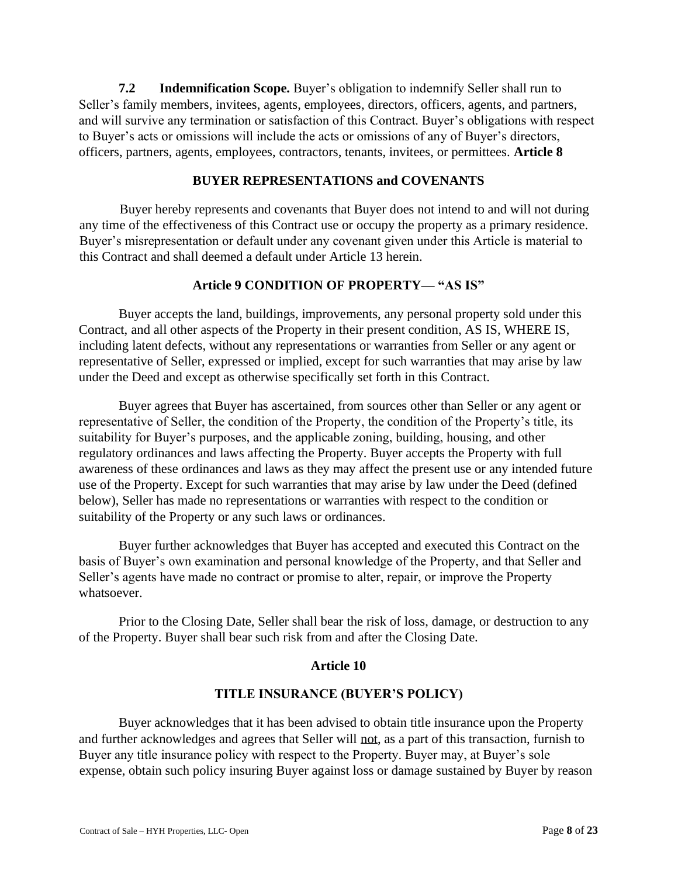**7.2 Indemnification Scope.** Buyer's obligation to indemnify Seller shall run to Seller's family members, invitees, agents, employees, directors, officers, agents, and partners, and will survive any termination or satisfaction of this Contract. Buyer's obligations with respect to Buyer's acts or omissions will include the acts or omissions of any of Buyer's directors, officers, partners, agents, employees, contractors, tenants, invitees, or permittees. **Article 8** 

### **BUYER REPRESENTATIONS and COVENANTS**

Buyer hereby represents and covenants that Buyer does not intend to and will not during any time of the effectiveness of this Contract use or occupy the property as a primary residence. Buyer's misrepresentation or default under any covenant given under this Article is material to this Contract and shall deemed a default under Article 13 herein.

### **Article 9 CONDITION OF PROPERTY— "AS IS"**

Buyer accepts the land, buildings, improvements, any personal property sold under this Contract, and all other aspects of the Property in their present condition, AS IS, WHERE IS, including latent defects, without any representations or warranties from Seller or any agent or representative of Seller, expressed or implied, except for such warranties that may arise by law under the Deed and except as otherwise specifically set forth in this Contract.

Buyer agrees that Buyer has ascertained, from sources other than Seller or any agent or representative of Seller, the condition of the Property, the condition of the Property's title, its suitability for Buyer's purposes, and the applicable zoning, building, housing, and other regulatory ordinances and laws affecting the Property. Buyer accepts the Property with full awareness of these ordinances and laws as they may affect the present use or any intended future use of the Property. Except for such warranties that may arise by law under the Deed (defined below), Seller has made no representations or warranties with respect to the condition or suitability of the Property or any such laws or ordinances.

Buyer further acknowledges that Buyer has accepted and executed this Contract on the basis of Buyer's own examination and personal knowledge of the Property, and that Seller and Seller's agents have made no contract or promise to alter, repair, or improve the Property whatsoever.

Prior to the Closing Date, Seller shall bear the risk of loss, damage, or destruction to any of the Property. Buyer shall bear such risk from and after the Closing Date.

### **Article 10**

## **TITLE INSURANCE (BUYER'S POLICY)**

Buyer acknowledges that it has been advised to obtain title insurance upon the Property and further acknowledges and agrees that Seller will not, as a part of this transaction, furnish to Buyer any title insurance policy with respect to the Property. Buyer may, at Buyer's sole expense, obtain such policy insuring Buyer against loss or damage sustained by Buyer by reason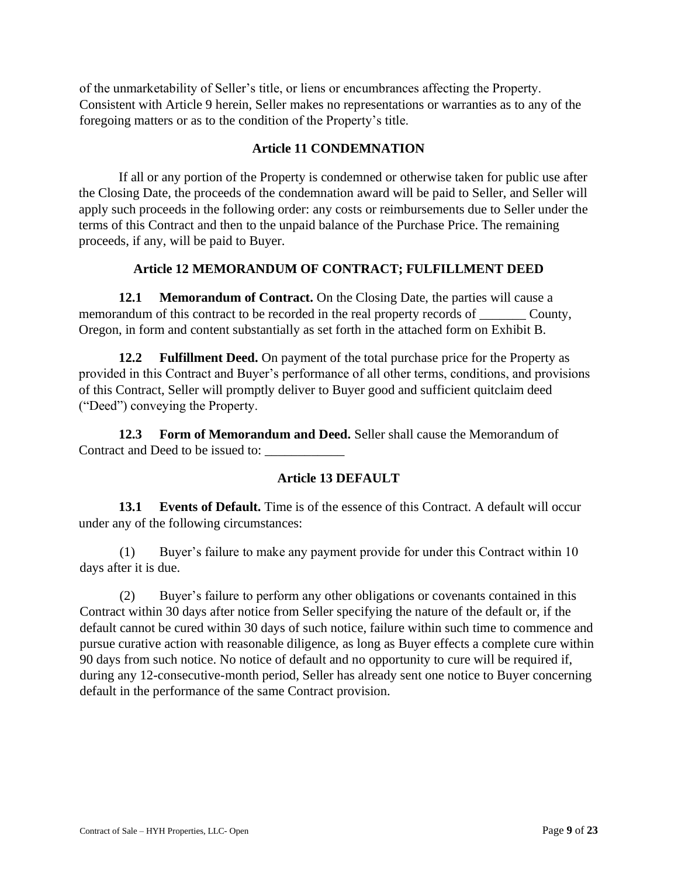of the unmarketability of Seller's title, or liens or encumbrances affecting the Property. Consistent with Article 9 herein, Seller makes no representations or warranties as to any of the foregoing matters or as to the condition of the Property's title.

### **Article 11 CONDEMNATION**

If all or any portion of the Property is condemned or otherwise taken for public use after the Closing Date, the proceeds of the condemnation award will be paid to Seller, and Seller will apply such proceeds in the following order: any costs or reimbursements due to Seller under the terms of this Contract and then to the unpaid balance of the Purchase Price. The remaining proceeds, if any, will be paid to Buyer.

# **Article 12 MEMORANDUM OF CONTRACT; FULFILLMENT DEED**

**12.1 Memorandum of Contract.** On the Closing Date, the parties will cause a memorandum of this contract to be recorded in the real property records of \_\_\_\_\_\_\_\_ County, Oregon, in form and content substantially as set forth in the attached form on Exhibit B.

**12.2 Fulfillment Deed.** On payment of the total purchase price for the Property as provided in this Contract and Buyer's performance of all other terms, conditions, and provisions of this Contract, Seller will promptly deliver to Buyer good and sufficient quitclaim deed ("Deed") conveying the Property.

**12.3 Form of Memorandum and Deed.** Seller shall cause the Memorandum of Contract and Deed to be issued to:

# **Article 13 DEFAULT**

**13.1 Events of Default.** Time is of the essence of this Contract. A default will occur under any of the following circumstances:

(1) Buyer's failure to make any payment provide for under this Contract within 10 days after it is due.

(2) Buyer's failure to perform any other obligations or covenants contained in this Contract within 30 days after notice from Seller specifying the nature of the default or, if the default cannot be cured within 30 days of such notice, failure within such time to commence and pursue curative action with reasonable diligence, as long as Buyer effects a complete cure within 90 days from such notice. No notice of default and no opportunity to cure will be required if, during any 12-consecutive-month period, Seller has already sent one notice to Buyer concerning default in the performance of the same Contract provision.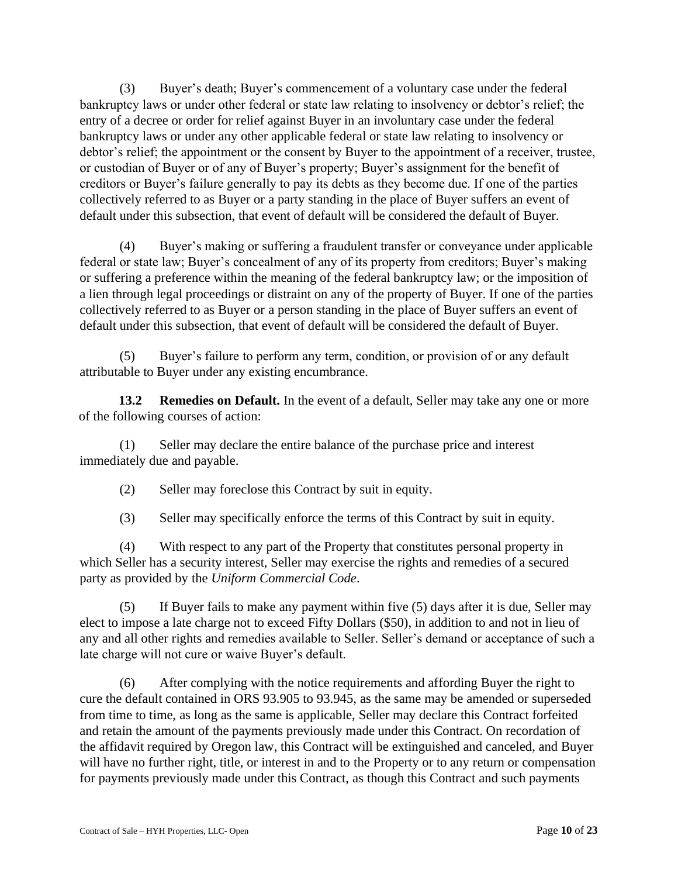(3) Buyer's death; Buyer's commencement of a voluntary case under the federal bankruptcy laws or under other federal or state law relating to insolvency or debtor's relief; the entry of a decree or order for relief against Buyer in an involuntary case under the federal bankruptcy laws or under any other applicable federal or state law relating to insolvency or debtor's relief; the appointment or the consent by Buyer to the appointment of a receiver, trustee, or custodian of Buyer or of any of Buyer's property; Buyer's assignment for the benefit of creditors or Buyer's failure generally to pay its debts as they become due. If one of the parties collectively referred to as Buyer or a party standing in the place of Buyer suffers an event of default under this subsection, that event of default will be considered the default of Buyer.

(4) Buyer's making or suffering a fraudulent transfer or conveyance under applicable federal or state law; Buyer's concealment of any of its property from creditors; Buyer's making or suffering a preference within the meaning of the federal bankruptcy law; or the imposition of a lien through legal proceedings or distraint on any of the property of Buyer. If one of the parties collectively referred to as Buyer or a person standing in the place of Buyer suffers an event of default under this subsection, that event of default will be considered the default of Buyer.

(5) Buyer's failure to perform any term, condition, or provision of or any default attributable to Buyer under any existing encumbrance.

**13.2 Remedies on Default.** In the event of a default, Seller may take any one or more of the following courses of action:

(1) Seller may declare the entire balance of the purchase price and interest immediately due and payable.

(2) Seller may foreclose this Contract by suit in equity.

(3) Seller may specifically enforce the terms of this Contract by suit in equity.

(4) With respect to any part of the Property that constitutes personal property in which Seller has a security interest, Seller may exercise the rights and remedies of a secured party as provided by the *Uniform Commercial Code*.

(5) If Buyer fails to make any payment within five (5) days after it is due, Seller may elect to impose a late charge not to exceed Fifty Dollars (\$50), in addition to and not in lieu of any and all other rights and remedies available to Seller. Seller's demand or acceptance of such a late charge will not cure or waive Buyer's default.

(6) After complying with the notice requirements and affording Buyer the right to cure the default contained in ORS 93.905 to 93.945, as the same may be amended or superseded from time to time, as long as the same is applicable, Seller may declare this Contract forfeited and retain the amount of the payments previously made under this Contract. On recordation of the affidavit required by Oregon law, this Contract will be extinguished and canceled, and Buyer will have no further right, title, or interest in and to the Property or to any return or compensation for payments previously made under this Contract, as though this Contract and such payments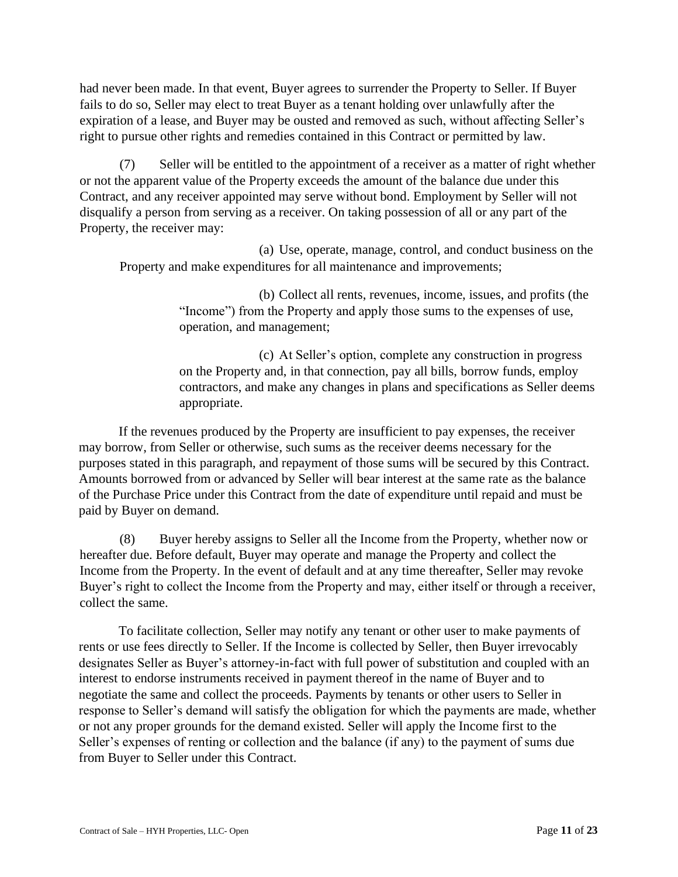had never been made. In that event, Buyer agrees to surrender the Property to Seller. If Buyer fails to do so, Seller may elect to treat Buyer as a tenant holding over unlawfully after the expiration of a lease, and Buyer may be ousted and removed as such, without affecting Seller's right to pursue other rights and remedies contained in this Contract or permitted by law.

(7) Seller will be entitled to the appointment of a receiver as a matter of right whether or not the apparent value of the Property exceeds the amount of the balance due under this Contract, and any receiver appointed may serve without bond. Employment by Seller will not disqualify a person from serving as a receiver. On taking possession of all or any part of the Property, the receiver may:

(a) Use, operate, manage, control, and conduct business on the Property and make expenditures for all maintenance and improvements;

> (b) Collect all rents, revenues, income, issues, and profits (the "Income") from the Property and apply those sums to the expenses of use, operation, and management;

(c) At Seller's option, complete any construction in progress on the Property and, in that connection, pay all bills, borrow funds, employ contractors, and make any changes in plans and specifications as Seller deems appropriate.

If the revenues produced by the Property are insufficient to pay expenses, the receiver may borrow, from Seller or otherwise, such sums as the receiver deems necessary for the purposes stated in this paragraph, and repayment of those sums will be secured by this Contract. Amounts borrowed from or advanced by Seller will bear interest at the same rate as the balance of the Purchase Price under this Contract from the date of expenditure until repaid and must be paid by Buyer on demand.

(8) Buyer hereby assigns to Seller all the Income from the Property, whether now or hereafter due. Before default, Buyer may operate and manage the Property and collect the Income from the Property. In the event of default and at any time thereafter, Seller may revoke Buyer's right to collect the Income from the Property and may, either itself or through a receiver, collect the same.

To facilitate collection, Seller may notify any tenant or other user to make payments of rents or use fees directly to Seller. If the Income is collected by Seller, then Buyer irrevocably designates Seller as Buyer's attorney-in-fact with full power of substitution and coupled with an interest to endorse instruments received in payment thereof in the name of Buyer and to negotiate the same and collect the proceeds. Payments by tenants or other users to Seller in response to Seller's demand will satisfy the obligation for which the payments are made, whether or not any proper grounds for the demand existed. Seller will apply the Income first to the Seller's expenses of renting or collection and the balance (if any) to the payment of sums due from Buyer to Seller under this Contract.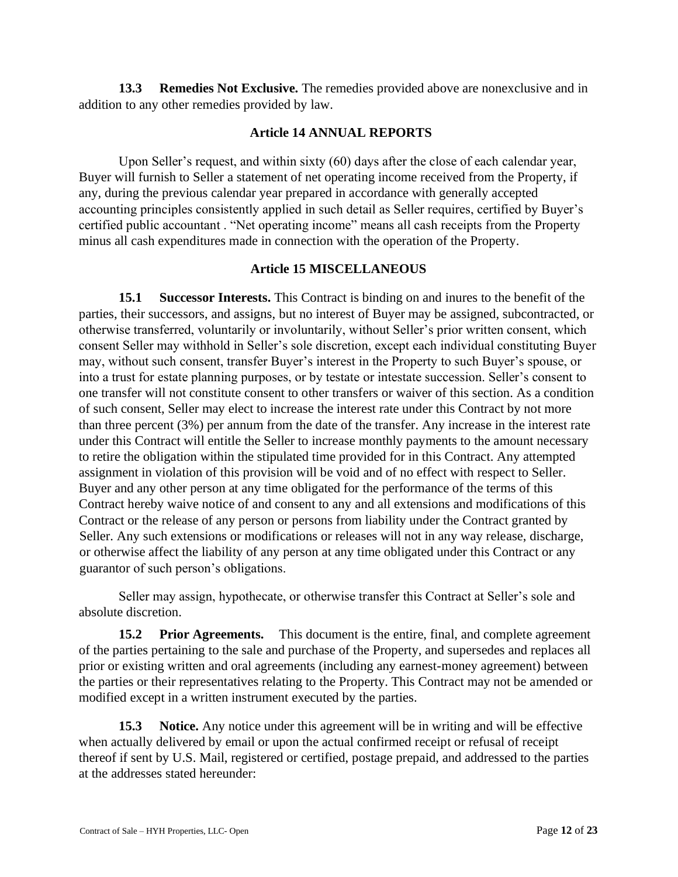**13.3 Remedies Not Exclusive.** The remedies provided above are nonexclusive and in addition to any other remedies provided by law.

### **Article 14 ANNUAL REPORTS**

Upon Seller's request, and within sixty (60) days after the close of each calendar year, Buyer will furnish to Seller a statement of net operating income received from the Property, if any, during the previous calendar year prepared in accordance with generally accepted accounting principles consistently applied in such detail as Seller requires, certified by Buyer's certified public accountant . "Net operating income" means all cash receipts from the Property minus all cash expenditures made in connection with the operation of the Property.

#### **Article 15 MISCELLANEOUS**

**15.1 Successor Interests.** This Contract is binding on and inures to the benefit of the parties, their successors, and assigns, but no interest of Buyer may be assigned, subcontracted, or otherwise transferred, voluntarily or involuntarily, without Seller's prior written consent, which consent Seller may withhold in Seller's sole discretion, except each individual constituting Buyer may, without such consent, transfer Buyer's interest in the Property to such Buyer's spouse, or into a trust for estate planning purposes, or by testate or intestate succession. Seller's consent to one transfer will not constitute consent to other transfers or waiver of this section. As a condition of such consent, Seller may elect to increase the interest rate under this Contract by not more than three percent (3%) per annum from the date of the transfer. Any increase in the interest rate under this Contract will entitle the Seller to increase monthly payments to the amount necessary to retire the obligation within the stipulated time provided for in this Contract. Any attempted assignment in violation of this provision will be void and of no effect with respect to Seller. Buyer and any other person at any time obligated for the performance of the terms of this Contract hereby waive notice of and consent to any and all extensions and modifications of this Contract or the release of any person or persons from liability under the Contract granted by Seller. Any such extensions or modifications or releases will not in any way release, discharge, or otherwise affect the liability of any person at any time obligated under this Contract or any guarantor of such person's obligations.

Seller may assign, hypothecate, or otherwise transfer this Contract at Seller's sole and absolute discretion.

**15.2 Prior Agreements.** This document is the entire, final, and complete agreement of the parties pertaining to the sale and purchase of the Property, and supersedes and replaces all prior or existing written and oral agreements (including any earnest-money agreement) between the parties or their representatives relating to the Property. This Contract may not be amended or modified except in a written instrument executed by the parties.

**15.3** Notice. Any notice under this agreement will be in writing and will be effective when actually delivered by email or upon the actual confirmed receipt or refusal of receipt thereof if sent by U.S. Mail, registered or certified, postage prepaid, and addressed to the parties at the addresses stated hereunder: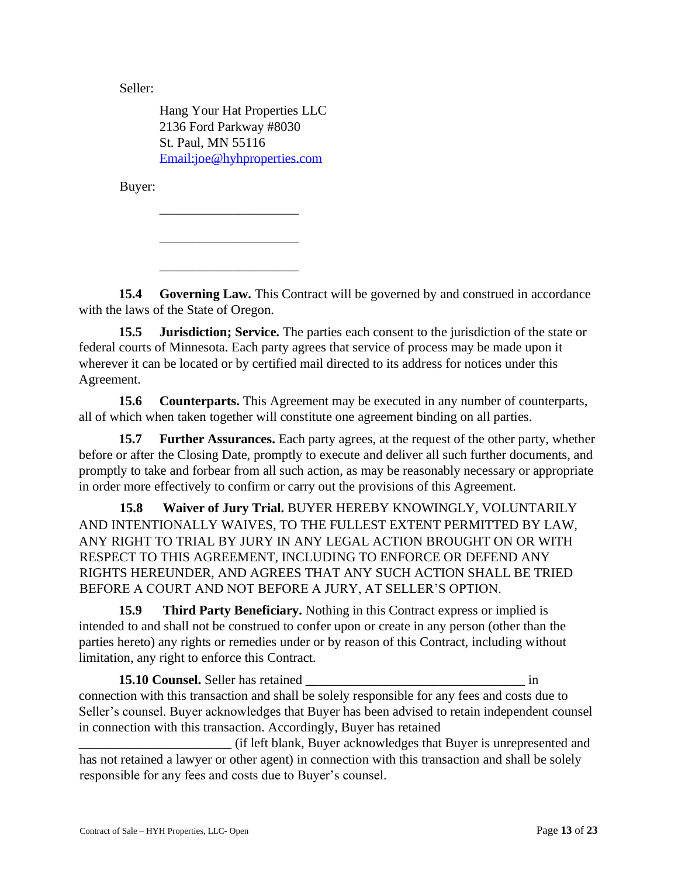Seller:

Hang Your Hat Properties LLC 2136 Ford Parkway #8030 St. Paul, MN 55116 Email:joe@hyhproperties.com

\_\_\_\_\_\_\_\_\_\_\_\_\_\_\_\_\_\_\_\_\_

\_\_\_\_\_\_\_\_\_\_\_\_\_\_\_\_\_\_\_\_\_

\_\_\_\_\_\_\_\_\_\_\_\_\_\_\_\_\_\_\_\_\_

Buyer:

**15.4 Governing Law.** This Contract will be governed by and construed in accordance with the laws of the State of Oregon.

**15.5 Jurisdiction; Service.** The parties each consent to the jurisdiction of the state or federal courts of Minnesota. Each party agrees that service of process may be made upon it wherever it can be located or by certified mail directed to its address for notices under this Agreement.

**15.6 Counterparts.** This Agreement may be executed in any number of counterparts, all of which when taken together will constitute one agreement binding on all parties.

**15.7 Further Assurances.** Each party agrees, at the request of the other party, whether before or after the Closing Date, promptly to execute and deliver all such further documents, and promptly to take and forbear from all such action, as may be reasonably necessary or appropriate in order more effectively to confirm or carry out the provisions of this Agreement.

**15.8 Waiver of Jury Trial.** BUYER HEREBY KNOWINGLY, VOLUNTARILY AND INTENTIONALLY WAIVES, TO THE FULLEST EXTENT PERMITTED BY LAW, ANY RIGHT TO TRIAL BY JURY IN ANY LEGAL ACTION BROUGHT ON OR WITH RESPECT TO THIS AGREEMENT, INCLUDING TO ENFORCE OR DEFEND ANY RIGHTS HEREUNDER, AND AGREES THAT ANY SUCH ACTION SHALL BE TRIED BEFORE A COURT AND NOT BEFORE A JURY, AT SELLER'S OPTION.

**15.9 Third Party Beneficiary.** Nothing in this Contract express or implied is intended to and shall not be construed to confer upon or create in any person (other than the parties hereto) any rights or remedies under or by reason of this Contract, including without limitation, any right to enforce this Contract.

**15.10 Counsel.** Seller has retained \_\_\_\_\_\_\_\_\_\_\_\_\_\_\_\_\_\_\_\_\_\_\_\_\_\_\_\_\_\_\_\_\_ in connection with this transaction and shall be solely responsible for any fees and costs due to Seller's counsel. Buyer acknowledges that Buyer has been advised to retain independent counsel in connection with this transaction. Accordingly, Buyer has retained

\_\_\_\_\_\_\_\_\_\_\_\_\_\_\_\_\_\_\_\_\_\_\_ (if left blank, Buyer acknowledges that Buyer is unrepresented and has not retained a lawyer or other agent) in connection with this transaction and shall be solely responsible for any fees and costs due to Buyer's counsel.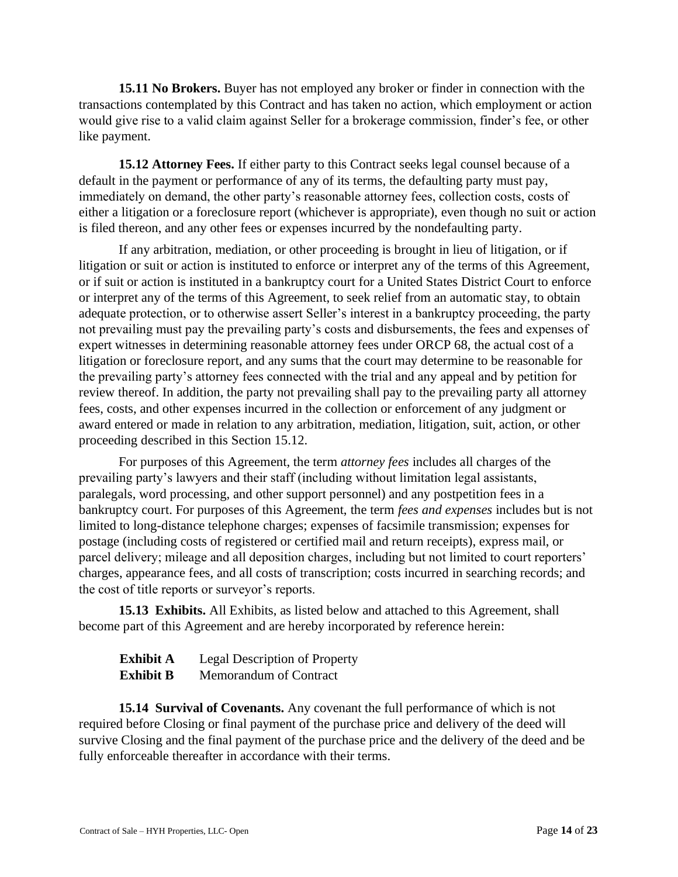**15.11 No Brokers.** Buyer has not employed any broker or finder in connection with the transactions contemplated by this Contract and has taken no action, which employment or action would give rise to a valid claim against Seller for a brokerage commission, finder's fee, or other like payment.

**15.12 Attorney Fees.** If either party to this Contract seeks legal counsel because of a default in the payment or performance of any of its terms, the defaulting party must pay, immediately on demand, the other party's reasonable attorney fees, collection costs, costs of either a litigation or a foreclosure report (whichever is appropriate), even though no suit or action is filed thereon, and any other fees or expenses incurred by the nondefaulting party.

If any arbitration, mediation, or other proceeding is brought in lieu of litigation, or if litigation or suit or action is instituted to enforce or interpret any of the terms of this Agreement, or if suit or action is instituted in a bankruptcy court for a United States District Court to enforce or interpret any of the terms of this Agreement, to seek relief from an automatic stay, to obtain adequate protection, or to otherwise assert Seller's interest in a bankruptcy proceeding, the party not prevailing must pay the prevailing party's costs and disbursements, the fees and expenses of expert witnesses in determining reasonable attorney fees under ORCP 68, the actual cost of a litigation or foreclosure report, and any sums that the court may determine to be reasonable for the prevailing party's attorney fees connected with the trial and any appeal and by petition for review thereof. In addition, the party not prevailing shall pay to the prevailing party all attorney fees, costs, and other expenses incurred in the collection or enforcement of any judgment or award entered or made in relation to any arbitration, mediation, litigation, suit, action, or other proceeding described in this Section 15.12.

For purposes of this Agreement, the term *attorney fees* includes all charges of the prevailing party's lawyers and their staff (including without limitation legal assistants, paralegals, word processing, and other support personnel) and any postpetition fees in a bankruptcy court. For purposes of this Agreement, the term *fees and expenses* includes but is not limited to long-distance telephone charges; expenses of facsimile transmission; expenses for postage (including costs of registered or certified mail and return receipts), express mail, or parcel delivery; mileage and all deposition charges, including but not limited to court reporters' charges, appearance fees, and all costs of transcription; costs incurred in searching records; and the cost of title reports or surveyor's reports.

**15.13 Exhibits.** All Exhibits, as listed below and attached to this Agreement, shall become part of this Agreement and are hereby incorporated by reference herein:

| <b>Exhibit A</b> | <b>Legal Description of Property</b> |
|------------------|--------------------------------------|
| <b>Exhibit B</b> | Memorandum of Contract               |

**15.14 Survival of Covenants.** Any covenant the full performance of which is not required before Closing or final payment of the purchase price and delivery of the deed will survive Closing and the final payment of the purchase price and the delivery of the deed and be fully enforceable thereafter in accordance with their terms.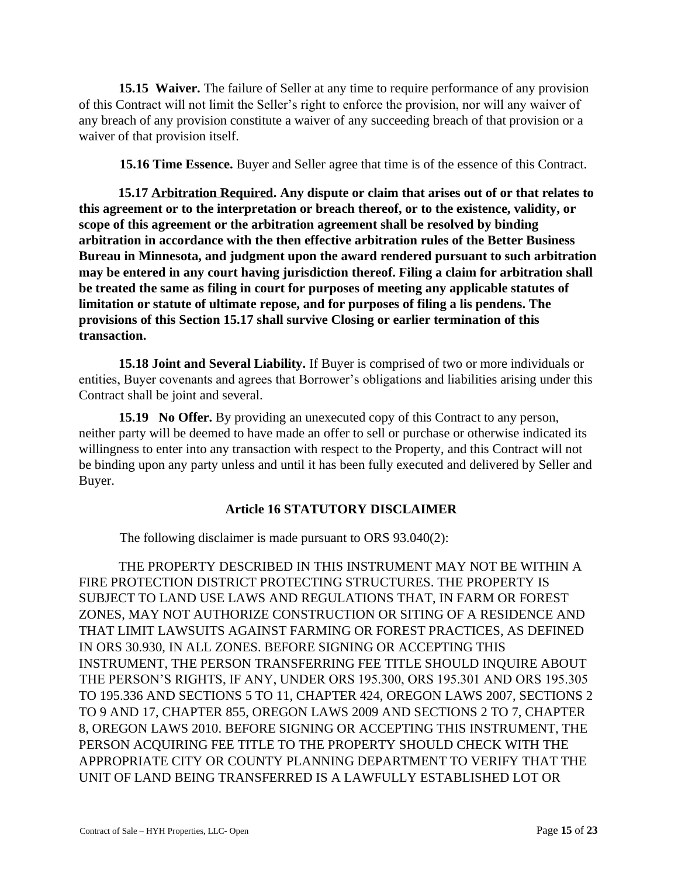**15.15 Waiver.** The failure of Seller at any time to require performance of any provision of this Contract will not limit the Seller's right to enforce the provision, nor will any waiver of any breach of any provision constitute a waiver of any succeeding breach of that provision or a waiver of that provision itself.

**15.16 Time Essence.** Buyer and Seller agree that time is of the essence of this Contract.

**15.17 Arbitration Required. Any dispute or claim that arises out of or that relates to this agreement or to the interpretation or breach thereof, or to the existence, validity, or scope of this agreement or the arbitration agreement shall be resolved by binding arbitration in accordance with the then effective arbitration rules of the Better Business Bureau in Minnesota, and judgment upon the award rendered pursuant to such arbitration may be entered in any court having jurisdiction thereof. Filing a claim for arbitration shall be treated the same as filing in court for purposes of meeting any applicable statutes of limitation or statute of ultimate repose, and for purposes of filing a lis pendens. The provisions of this Section 15.17 shall survive Closing or earlier termination of this transaction.** 

**15.18 Joint and Several Liability.** If Buyer is comprised of two or more individuals or entities, Buyer covenants and agrees that Borrower's obligations and liabilities arising under this Contract shall be joint and several.

**15.19 No Offer.** By providing an unexecuted copy of this Contract to any person, neither party will be deemed to have made an offer to sell or purchase or otherwise indicated its willingness to enter into any transaction with respect to the Property, and this Contract will not be binding upon any party unless and until it has been fully executed and delivered by Seller and Buyer.

#### **Article 16 STATUTORY DISCLAIMER**

The following disclaimer is made pursuant to ORS 93.040(2):

THE PROPERTY DESCRIBED IN THIS INSTRUMENT MAY NOT BE WITHIN A FIRE PROTECTION DISTRICT PROTECTING STRUCTURES. THE PROPERTY IS SUBJECT TO LAND USE LAWS AND REGULATIONS THAT, IN FARM OR FOREST ZONES, MAY NOT AUTHORIZE CONSTRUCTION OR SITING OF A RESIDENCE AND THAT LIMIT LAWSUITS AGAINST FARMING OR FOREST PRACTICES, AS DEFINED IN ORS 30.930, IN ALL ZONES. BEFORE SIGNING OR ACCEPTING THIS INSTRUMENT, THE PERSON TRANSFERRING FEE TITLE SHOULD INQUIRE ABOUT THE PERSON'S RIGHTS, IF ANY, UNDER ORS 195.300, ORS 195.301 AND ORS 195.305 TO 195.336 AND SECTIONS 5 TO 11, CHAPTER 424, OREGON LAWS 2007, SECTIONS 2 TO 9 AND 17, CHAPTER 855, OREGON LAWS 2009 AND SECTIONS 2 TO 7, CHAPTER 8, OREGON LAWS 2010. BEFORE SIGNING OR ACCEPTING THIS INSTRUMENT, THE PERSON ACQUIRING FEE TITLE TO THE PROPERTY SHOULD CHECK WITH THE APPROPRIATE CITY OR COUNTY PLANNING DEPARTMENT TO VERIFY THAT THE UNIT OF LAND BEING TRANSFERRED IS A LAWFULLY ESTABLISHED LOT OR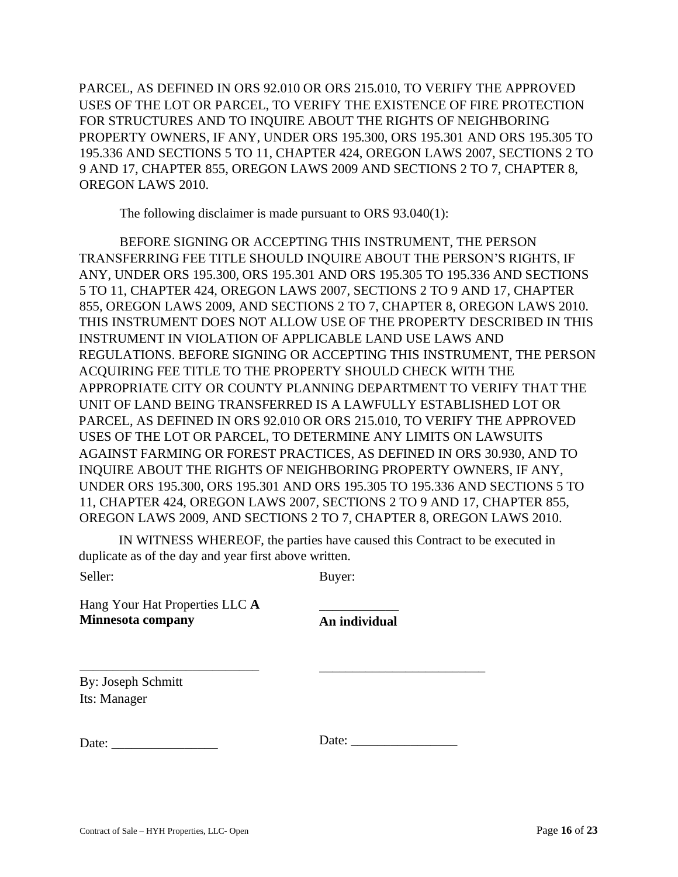PARCEL, AS DEFINED IN ORS 92.010 OR ORS 215.010, TO VERIFY THE APPROVED USES OF THE LOT OR PARCEL, TO VERIFY THE EXISTENCE OF FIRE PROTECTION FOR STRUCTURES AND TO INQUIRE ABOUT THE RIGHTS OF NEIGHBORING PROPERTY OWNERS, IF ANY, UNDER ORS 195.300, ORS 195.301 AND ORS 195.305 TO 195.336 AND SECTIONS 5 TO 11, CHAPTER 424, OREGON LAWS 2007, SECTIONS 2 TO 9 AND 17, CHAPTER 855, OREGON LAWS 2009 AND SECTIONS 2 TO 7, CHAPTER 8, OREGON LAWS 2010.

The following disclaimer is made pursuant to ORS 93.040(1):

BEFORE SIGNING OR ACCEPTING THIS INSTRUMENT, THE PERSON TRANSFERRING FEE TITLE SHOULD INQUIRE ABOUT THE PERSON'S RIGHTS, IF ANY, UNDER ORS 195.300, ORS 195.301 AND ORS 195.305 TO 195.336 AND SECTIONS 5 TO 11, CHAPTER 424, OREGON LAWS 2007, SECTIONS 2 TO 9 AND 17, CHAPTER 855, OREGON LAWS 2009, AND SECTIONS 2 TO 7, CHAPTER 8, OREGON LAWS 2010. THIS INSTRUMENT DOES NOT ALLOW USE OF THE PROPERTY DESCRIBED IN THIS INSTRUMENT IN VIOLATION OF APPLICABLE LAND USE LAWS AND REGULATIONS. BEFORE SIGNING OR ACCEPTING THIS INSTRUMENT, THE PERSON ACQUIRING FEE TITLE TO THE PROPERTY SHOULD CHECK WITH THE APPROPRIATE CITY OR COUNTY PLANNING DEPARTMENT TO VERIFY THAT THE UNIT OF LAND BEING TRANSFERRED IS A LAWFULLY ESTABLISHED LOT OR PARCEL, AS DEFINED IN ORS 92.010 OR ORS 215.010, TO VERIFY THE APPROVED USES OF THE LOT OR PARCEL, TO DETERMINE ANY LIMITS ON LAWSUITS AGAINST FARMING OR FOREST PRACTICES, AS DEFINED IN ORS 30.930, AND TO INQUIRE ABOUT THE RIGHTS OF NEIGHBORING PROPERTY OWNERS, IF ANY, UNDER ORS 195.300, ORS 195.301 AND ORS 195.305 TO 195.336 AND SECTIONS 5 TO 11, CHAPTER 424, OREGON LAWS 2007, SECTIONS 2 TO 9 AND 17, CHAPTER 855, OREGON LAWS 2009, AND SECTIONS 2 TO 7, CHAPTER 8, OREGON LAWS 2010.

IN WITNESS WHEREOF, the parties have caused this Contract to be executed in duplicate as of the day and year first above written.

| еı<br>ıe |
|----------|
|----------|

Buyer:

Hang Your Hat Properties LLC **A Minnesota company**

\_\_\_\_\_\_\_\_\_\_\_\_\_\_\_\_\_\_\_\_\_\_\_\_\_\_\_

\_\_\_\_\_\_\_\_\_\_\_\_ **An individual** 

By: Joseph Schmitt Its: Manager

Date:  $\frac{1}{2}$ 

Date: \_\_\_\_\_\_\_\_\_\_\_\_\_\_\_\_

\_\_\_\_\_\_\_\_\_\_\_\_\_\_\_\_\_\_\_\_\_\_\_\_\_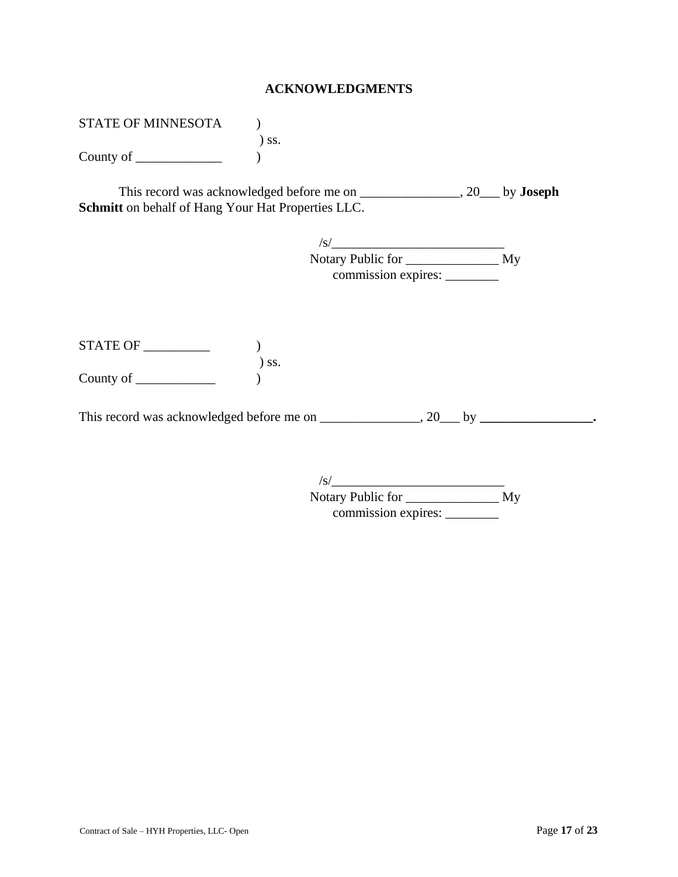#### **ACKNOWLEDGMENTS**

STATE OF MINNESOTA (1) ) ss. County of  $\qquad \qquad$ 

This record was acknowledged before me on \_\_\_\_\_\_\_\_\_\_\_\_\_\_\_, 20\_\_\_ by **Joseph Schmitt** on behalf of Hang Your Hat Properties LLC.

| /s/                 |    |
|---------------------|----|
| Notary Public for   | My |
| commission expires: |    |

| <b>STATE OF</b> |            |
|-----------------|------------|
|                 | $\sum$ SS. |
| County of       |            |

This record was acknowledged before me on \_\_\_\_\_\_\_\_\_\_\_\_\_\_, 20\_\_\_ by \_\_\_\_\_\_\_\_\_\_\_\_\_\_\_\_\_.

| /s/                 |    |
|---------------------|----|
| Notary Public for   | My |
| commission expires: |    |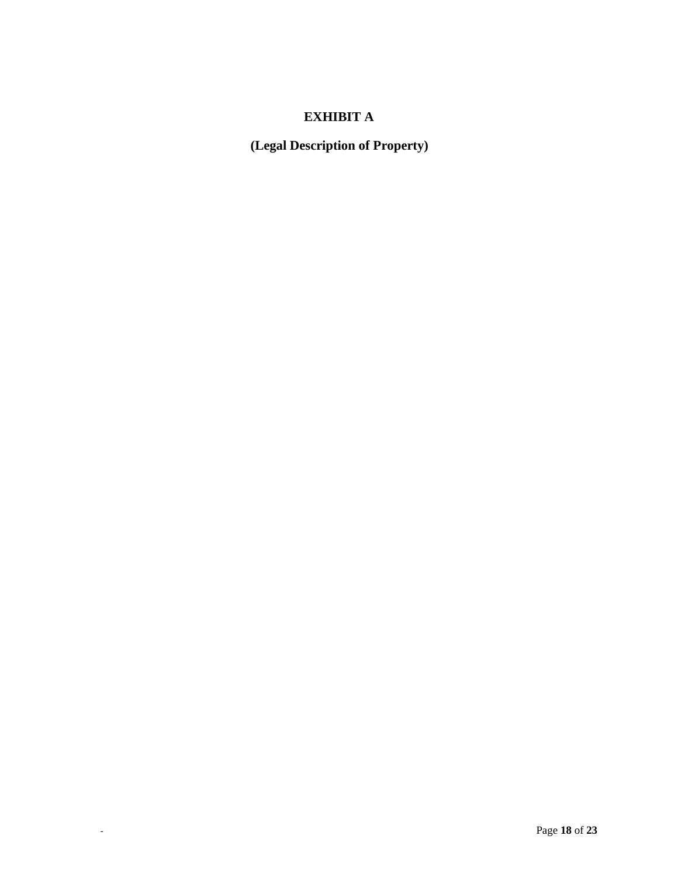# **EXHIBIT A**

**(Legal Description of Property)**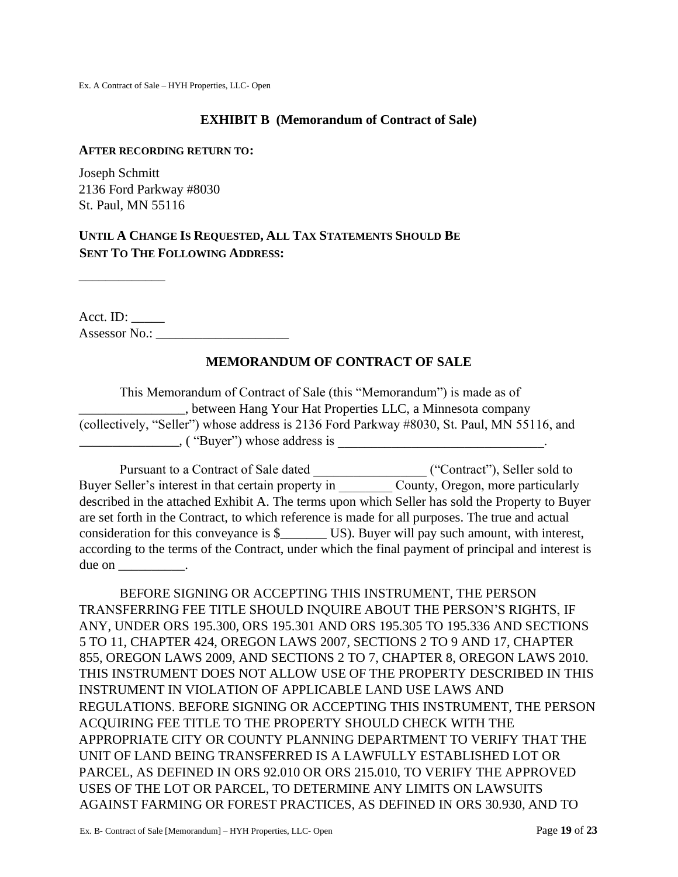#### **EXHIBIT B (Memorandum of Contract of Sale)**

#### **AFTER RECORDING RETURN TO:**

Joseph Schmitt 2136 Ford Parkway #8030 St. Paul, MN 55116

# **UNTIL A CHANGE IS REQUESTED, ALL TAX STATEMENTS SHOULD BE SENT TO THE FOLLOWING ADDRESS:**

 $\overline{\phantom{a}}$  , where  $\overline{\phantom{a}}$ 

Acct. ID: \_\_\_\_\_ Assessor No.: \_\_\_\_\_\_\_\_\_\_\_\_\_\_\_\_\_\_\_\_

## **MEMORANDUM OF CONTRACT OF SALE**

This Memorandum of Contract of Sale (this "Memorandum") is made as of \_\_\_\_\_\_\_\_\_\_\_\_\_\_\_\_, between Hang Your Hat Properties LLC, a Minnesota company (collectively, "Seller") whose address is 2136 Ford Parkway #8030, St. Paul, MN 55116, and  $\blacksquare$ , ( "Buyer") whose address is

Pursuant to a Contract of Sale dated \_\_\_\_\_\_\_\_\_\_\_\_\_\_\_\_\_ ("Contract"), Seller sold to Buyer Seller's interest in that certain property in County, Oregon, more particularly described in the attached Exhibit A. The terms upon which Seller has sold the Property to Buyer are set forth in the Contract, to which reference is made for all purposes. The true and actual consideration for this conveyance is \$\_\_\_\_\_\_\_ US). Buyer will pay such amount, with interest, according to the terms of the Contract, under which the final payment of principal and interest is due on \_\_\_\_\_\_\_\_\_\_\_.

BEFORE SIGNING OR ACCEPTING THIS INSTRUMENT, THE PERSON TRANSFERRING FEE TITLE SHOULD INQUIRE ABOUT THE PERSON'S RIGHTS, IF ANY, UNDER ORS 195.300, ORS 195.301 AND ORS 195.305 TO 195.336 AND SECTIONS 5 TO 11, CHAPTER 424, OREGON LAWS 2007, SECTIONS 2 TO 9 AND 17, CHAPTER 855, OREGON LAWS 2009, AND SECTIONS 2 TO 7, CHAPTER 8, OREGON LAWS 2010. THIS INSTRUMENT DOES NOT ALLOW USE OF THE PROPERTY DESCRIBED IN THIS INSTRUMENT IN VIOLATION OF APPLICABLE LAND USE LAWS AND REGULATIONS. BEFORE SIGNING OR ACCEPTING THIS INSTRUMENT, THE PERSON ACQUIRING FEE TITLE TO THE PROPERTY SHOULD CHECK WITH THE APPROPRIATE CITY OR COUNTY PLANNING DEPARTMENT TO VERIFY THAT THE UNIT OF LAND BEING TRANSFERRED IS A LAWFULLY ESTABLISHED LOT OR PARCEL, AS DEFINED IN ORS 92.010 OR ORS 215.010, TO VERIFY THE APPROVED USES OF THE LOT OR PARCEL, TO DETERMINE ANY LIMITS ON LAWSUITS AGAINST FARMING OR FOREST PRACTICES, AS DEFINED IN ORS 30.930, AND TO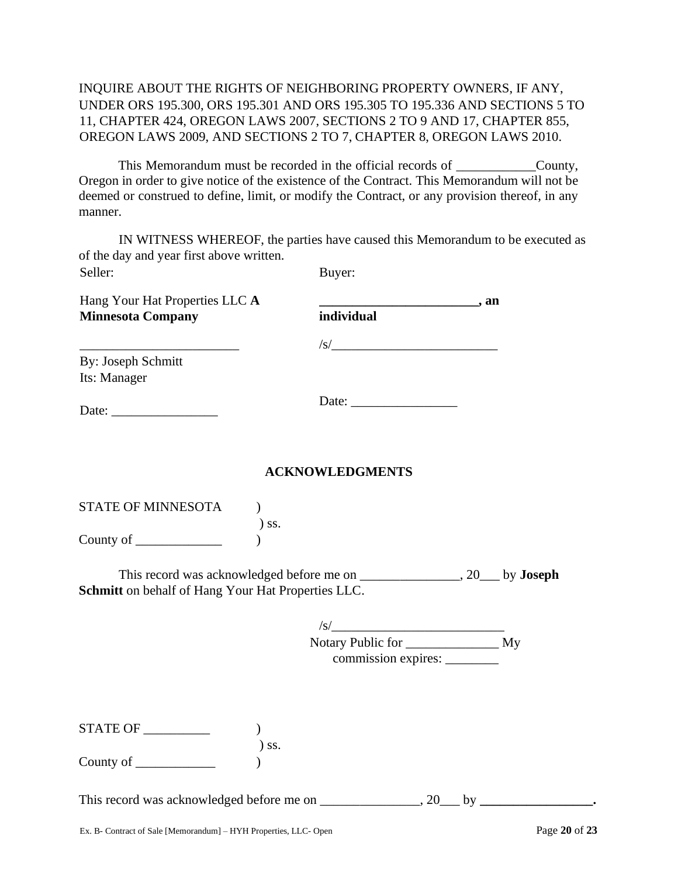# INQUIRE ABOUT THE RIGHTS OF NEIGHBORING PROPERTY OWNERS, IF ANY, UNDER ORS 195.300, ORS 195.301 AND ORS 195.305 TO 195.336 AND SECTIONS 5 TO 11, CHAPTER 424, OREGON LAWS 2007, SECTIONS 2 TO 9 AND 17, CHAPTER 855, OREGON LAWS 2009, AND SECTIONS 2 TO 7, CHAPTER 8, OREGON LAWS 2010.

This Memorandum must be recorded in the official records of  $\qquad \qquad \text{Country},$ Oregon in order to give notice of the existence of the Contract. This Memorandum will not be deemed or construed to define, limit, or modify the Contract, or any provision thereof, in any manner.

IN WITNESS WHEREOF, the parties have caused this Memorandum to be executed as of the day and year first above written. Seller: Buyer:

| Hang Your Hat Properties LLC A                          |                                                                                                                         | . an |
|---------------------------------------------------------|-------------------------------------------------------------------------------------------------------------------------|------|
| <b>Minnesota Company</b>                                | individual                                                                                                              |      |
| <u> 1989 - Johann Johnson, mars andrew Maria (b. 19</u> | $\sqrt{s}$                                                                                                              |      |
| By: Joseph Schmitt                                      |                                                                                                                         |      |
| Its: Manager                                            |                                                                                                                         |      |
|                                                         | Date: $\frac{1}{\sqrt{1-\frac{1}{2}}\sqrt{1-\frac{1}{2}}\sqrt{1-\frac{1}{2}}\sqrt{1-\frac{1}{2}}\sqrt{1-\frac{1}{2}}}}$ |      |
|                                                         | <b>ACKNOWLEDGMENTS</b>                                                                                                  |      |
| <b>STATE OF MINNESOTA</b>                               |                                                                                                                         |      |
|                                                         | SS.                                                                                                                     |      |

County of \_\_\_\_\_\_\_\_\_\_\_\_\_ )

This record was acknowledged before me on \_\_\_\_\_\_\_\_\_\_\_\_\_\_\_, 20\_\_\_ by **Joseph Schmitt** on behalf of Hang Your Hat Properties LLC.

| S                       |    |
|-------------------------|----|
| Notary Public for _____ | My |
| commission expires: _   |    |

| <b>STATE OF</b> |         |
|-----------------|---------|
|                 | $)$ SS. |
| County of       |         |

This record was acknowledged before me on \_\_\_\_\_\_\_\_\_\_\_\_\_\_, 20\_\_\_ by \_\_\_\_\_\_\_\_\_\_\_\_\_\_\_\_\_.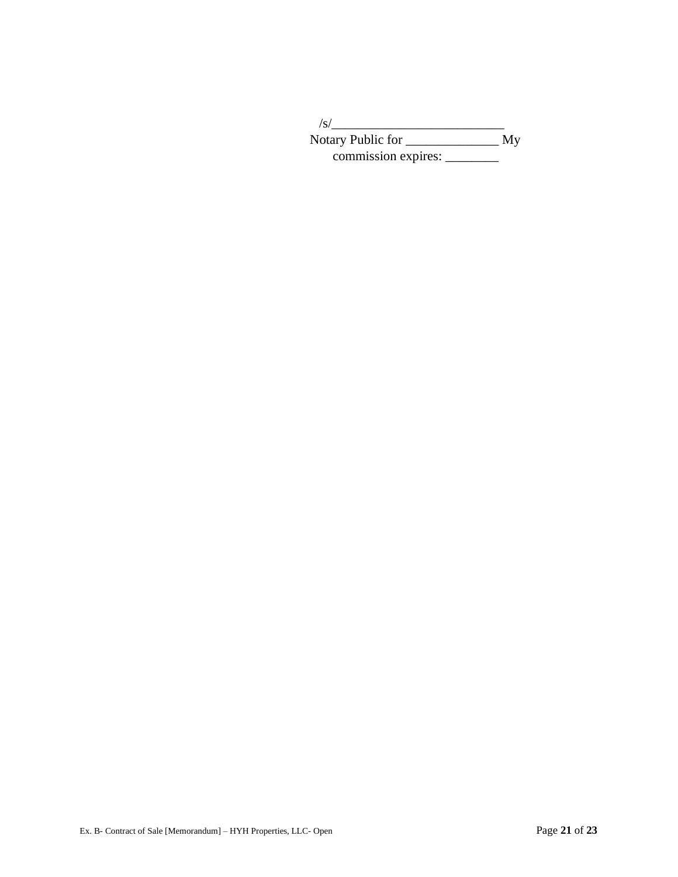| /s/                 |    |
|---------------------|----|
| Notary Public for   | My |
| commission expires: |    |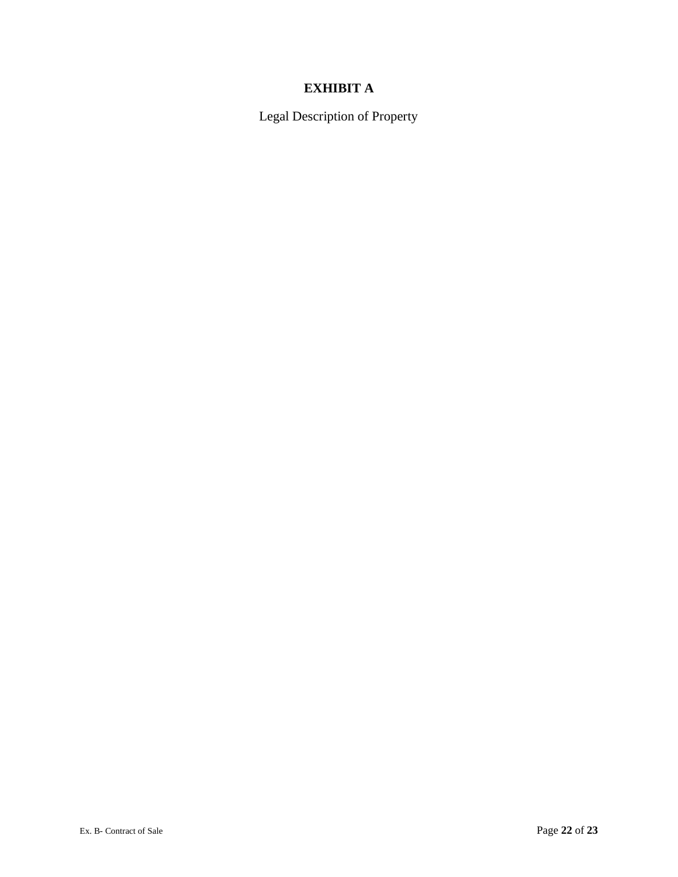# **EXHIBIT A**

Legal Description of Property